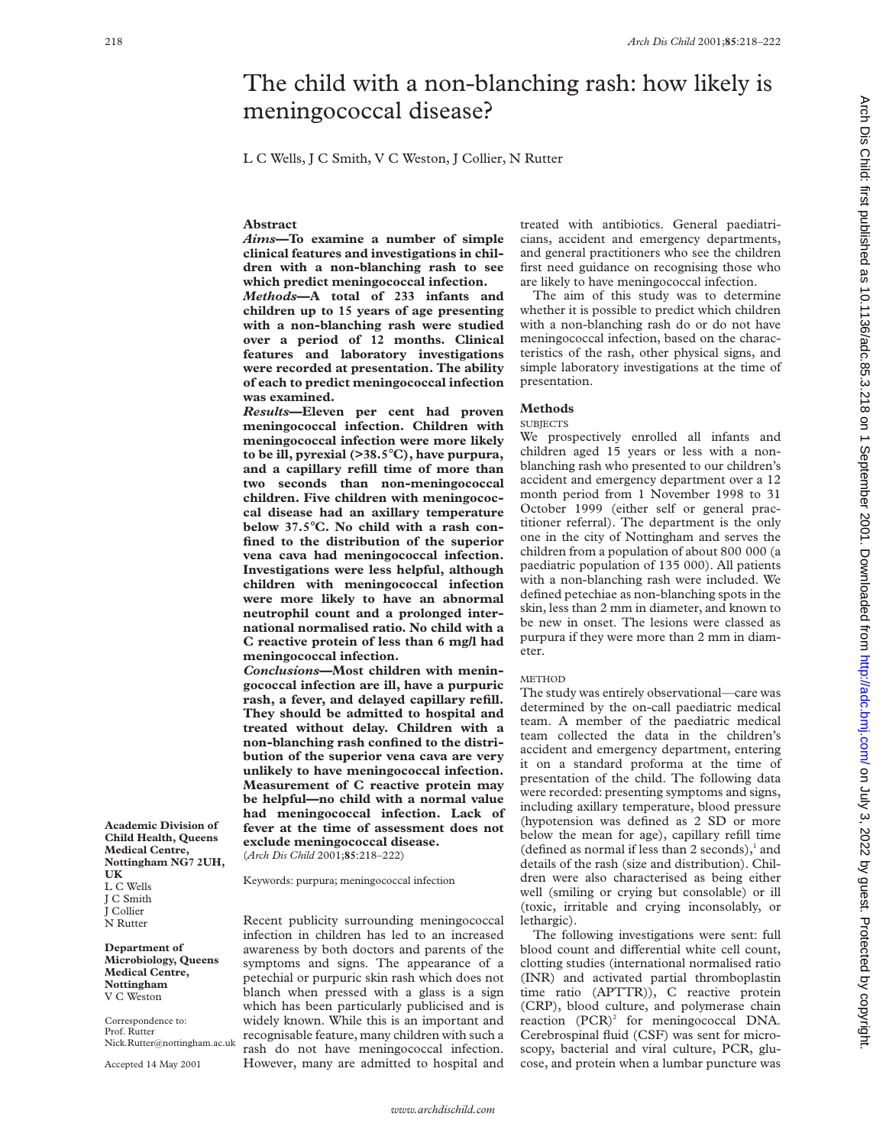# The child with a non-blanching rash: how likely is meningococcal disease?

L C Wells, J C Smith, V C Weston, J Collier, N Rutter

## **Abstract**

*Aims***—To examine a number of simple clinical features and investigations in children with a non-blanching rash to see which predict meningococcal infection.** *Methods***—A total of 233 infants and children up to 15 years of age presenting with a non-blanching rash were studied over a period of 12 months. Clinical features and laboratory investigations**

**were recorded at presentation. The ability of each to predict meningococcal infection**

**was examined.** *Results***—Eleven per cent had proven meningococcal infection. Children with meningococcal infection were more likely to be ill, pyrexial (>38.5**°**C), have purpura, and a capillary refill time of more than two seconds than non-meningococcal children. Five children with meningococcal disease had an axillary temperature below 37.5**°**C. No child with a rash confined to the distribution of the superior vena cava had meningococcal infection. Investigations were less helpful, although children with meningococcal infection were more likely to have an abnormal neutrophil count and a prolonged international normalised ratio. No child with a C reactive protein of less than 6 mg/l had meningococcal infection.**

*Conclusions***—Most children with meningococcal infection are ill, have a purpuric rash, a fever, and delayed capillary refill. They should be admitted to hospital and treated without delay. Children with a non-blanching rash confined to the distribution of the superior vena cava are very unlikely to have meningococcal infection. Measurement of C reactive protein may be helpful—no child with a normal value had meningococcal infection. Lack of fever at the time of assessment does not exclude meningococcal disease.** (*Arch Dis Child* 2001;**85**:218–222)

Keywords: purpura; meningococcal infection

Recent publicity surrounding meningococcal infection in children has led to an increased awareness by both doctors and parents of the symptoms and signs. The appearance of a petechial or purpuric skin rash which does not blanch when pressed with a glass is a sign which has been particularly publicised and is widely known. While this is an important and recognisable feature, many children with such a rash do not have meningococcal infection. However, many are admitted to hospital and

treated with antibiotics. General paediatricians, accident and emergency departments, and general practitioners who see the children first need guidance on recognising those who are likely to have meningococcal infection.

The aim of this study was to determine whether it is possible to predict which children with a non-blanching rash do or do not have meningococcal infection, based on the characteristics of the rash, other physical signs, and simple laboratory investigations at the time of presentation.

## **Methods**

## **SUBJECTS**

We prospectively enrolled all infants and children aged 15 years or less with a nonblanching rash who presented to our children's accident and emergency department over a 12 month period from 1 November 1998 to 31 October 1999 (either self or general practitioner referral). The department is the only one in the city of Nottingham and serves the children from a population of about 800 000 (a paediatric population of 135 000). All patients with a non-blanching rash were included. We defined petechiae as non-blanching spots in the skin, less than 2 mm in diameter, and known to be new in onset. The lesions were classed as purpura if they were more than 2 mm in diameter.

#### METHOD

The study was entirely observational—care was determined by the on-call paediatric medical team. A member of the paediatric medical team collected the data in the children's accident and emergency department, entering it on a standard proforma at the time of presentation of the child. The following data were recorded: presenting symptoms and signs, including axillary temperature, blood pressure (hypotension was defined as 2 SD or more below the mean for age), capillary refill time (defined as normal if less than 2 seconds), $<sup>1</sup>$  and</sup> details of the rash (size and distribution). Children were also characterised as being either well (smiling or crying but consolable) or ill (toxic, irritable and crying inconsolably, or lethargic).

The following investigations were sent: full blood count and differential white cell count, clotting studies (international normalised ratio (INR) and activated partial thromboplastin time ratio (APTTR)), C reactive protein (CRP), blood culture, and polymerase chain reaction (PCR)<sup>2</sup> for meningococcal DNA. Cerebrospinal fluid (CSF) was sent for microscopy, bacterial and viral culture, PCR, glucose, and protein when a lumbar puncture was

**Academic Division of Child Health, Queens Medical Centre, Nottingham NG7 2UH, UK** L C Wells J C Smith J Collier N Rutter

**Department of Microbiology, Queens Medical Centre, Nottingham** V C Weston

Correspondence to: Prof. Rutter Nick.Rutter@nottingham.ac.uk

Accepted 14 May 2001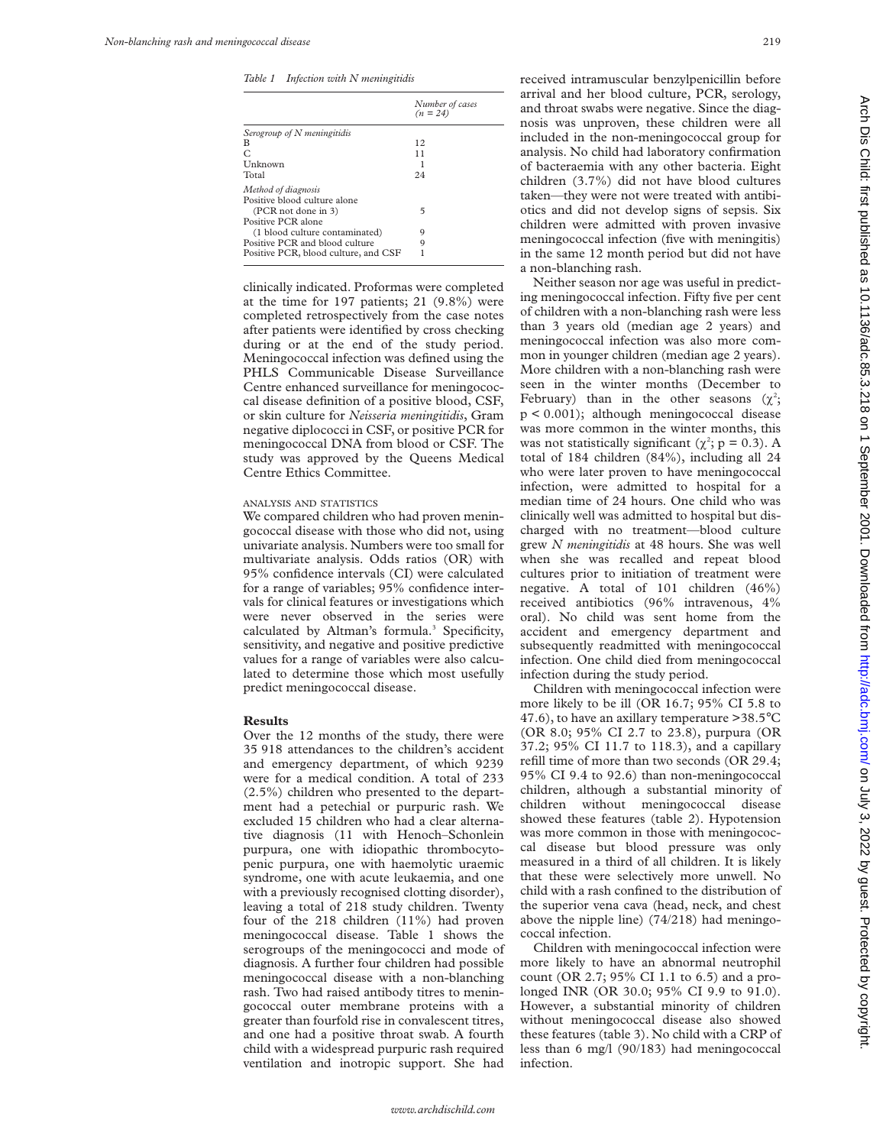*Table 1 Infection with N meningitidis*

|                                                     | Number of cases<br>$(n = 24)$ |
|-----------------------------------------------------|-------------------------------|
| Serogroup of $N$ meningitidis                       |                               |
| в                                                   | 12                            |
| C                                                   | 11                            |
| Unknown                                             |                               |
| Total                                               | 24                            |
| Method of diagnosis<br>Positive blood culture alone |                               |
| (PCR not done in 3)<br>Positive PCR alone           | 5                             |
| (1 blood culture contaminated)                      | 9                             |
| Positive PCR and blood culture                      | 9                             |
| Positive PCR, blood culture, and CSF                |                               |

clinically indicated. Proformas were completed at the time for 197 patients; 21 (9.8%) were completed retrospectively from the case notes after patients were identified by cross checking during or at the end of the study period. Meningococcal infection was defined using the PHLS Communicable Disease Surveillance Centre enhanced surveillance for meningococcal disease definition of a positive blood, CSF, or skin culture for *Neisseria meningitidis*, Gram negative diplococci in CSF, or positive PCR for meningococcal DNA from blood or CSF. The study was approved by the Queens Medical Centre Ethics Committee.

## ANALYSIS AND STATISTICS

We compared children who had proven meningococcal disease with those who did not, using univariate analysis. Numbers were too small for multivariate analysis. Odds ratios (OR) with 95% confidence intervals (CI) were calculated for a range of variables; 95% confidence intervals for clinical features or investigations which were never observed in the series were calculated by Altman's formula.<sup>3</sup> Specificity, sensitivity, and negative and positive predictive values for a range of variables were also calculated to determine those which most usefully predict meningococcal disease.

## **Results**

Over the 12 months of the study, there were 35 918 attendances to the children's accident and emergency department, of which 9239 were for a medical condition. A total of 233 (2.5%) children who presented to the department had a petechial or purpuric rash. We excluded 15 children who had a clear alternative diagnosis (11 with Henoch–Schonlein purpura, one with idiopathic thrombocytopenic purpura, one with haemolytic uraemic syndrome, one with acute leukaemia, and one with a previously recognised clotting disorder), leaving a total of 218 study children. Twenty four of the 218 children (11%) had proven meningococcal disease. Table 1 shows the serogroups of the meningococci and mode of diagnosis. A further four children had possible meningococcal disease with a non-blanching rash. Two had raised antibody titres to meningococcal outer membrane proteins with a greater than fourfold rise in convalescent titres, and one had a positive throat swab. A fourth child with a widespread purpuric rash required ventilation and inotropic support. She had

received intramuscular benzylpenicillin before arrival and her blood culture, PCR, serology, and throat swabs were negative. Since the diagnosis was unproven, these children were all included in the non-meningococcal group for analysis. No child had laboratory confirmation of bacteraemia with any other bacteria. Eight children (3.7%) did not have blood cultures taken—they were not were treated with antibiotics and did not develop signs of sepsis. Six children were admitted with proven invasive meningococcal infection (five with meningitis) in the same 12 month period but did not have a non-blanching rash.

Neither season nor age was useful in predicting meningococcal infection. Fifty five per cent of children with a non-blanching rash were less than 3 years old (median age 2 years) and meningococcal infection was also more common in younger children (median age 2 years). More children with a non-blanching rash were seen in the winter months (December to February) than in the other seasons  $(\chi^2)$ ; p < 0.001); although meningococcal disease was more common in the winter months, this was not statistically significant ( $\chi^2$ ; p = 0.3). A total of 184 children (84%), including all 24 who were later proven to have meningococcal infection, were admitted to hospital for a median time of 24 hours. One child who was clinically well was admitted to hospital but discharged with no treatment—blood culture grew *N meningitidis* at 48 hours. She was well when she was recalled and repeat blood cultures prior to initiation of treatment were negative. A total of 101 children (46%) received antibiotics (96% intravenous, 4% oral). No child was sent home from the accident and emergency department and subsequently readmitted with meningococcal infection. One child died from meningococcal infection during the study period.

Children with meningococcal infection were more likely to be ill (OR 16.7; 95% CI 5.8 to 47.6), to have an axillary temperature  $>$  38.5 $^{\circ}$ C (OR 8.0; 95% CI 2.7 to 23.8), purpura (OR 37.2; 95% CI 11.7 to 118.3), and a capillary refill time of more than two seconds (OR 29.4; 95% CI 9.4 to 92.6) than non-meningococcal children, although a substantial minority of children without meningococcal disease showed these features (table 2). Hypotension was more common in those with meningococcal disease but blood pressure was only measured in a third of all children. It is likely that these were selectively more unwell. No child with a rash confined to the distribution of the superior vena cava (head, neck, and chest above the nipple line) (74/218) had meningococcal infection.

Children with meningococcal infection were more likely to have an abnormal neutrophil count (OR 2.7; 95% CI 1.1 to 6.5) and a prolonged INR (OR 30.0; 95% CI 9.9 to 91.0). However, a substantial minority of children without meningococcal disease also showed these features (table 3). No child with a CRP of less than 6 mg/l (90/183) had meningococcal infection.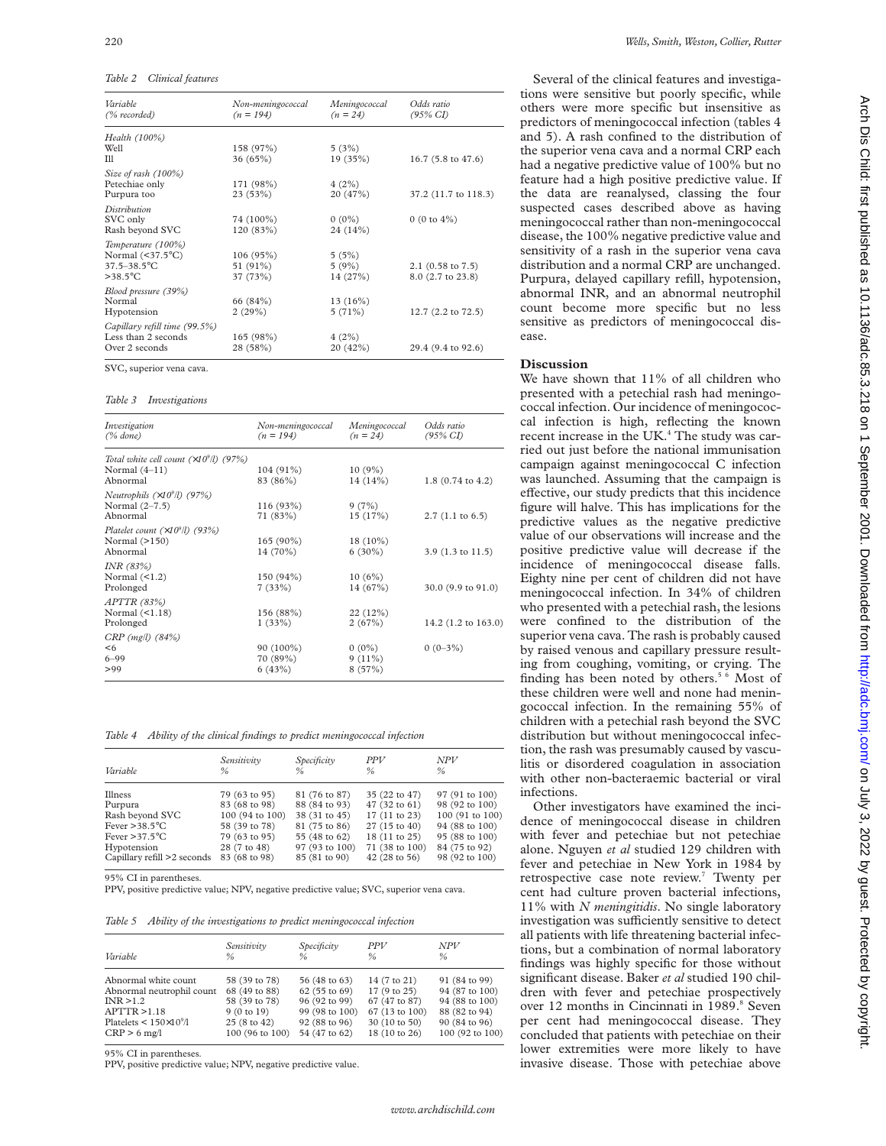| Table 2 | Clinical features |
|---------|-------------------|
|---------|-------------------|

| Variable<br>(% recorded)                                                                        | Non-meningococcal<br>$(n = 194)$ | Meningococcal<br>$(n = 24)$ | Odds ratio<br>$(95\% \text{ CI})$        |
|-------------------------------------------------------------------------------------------------|----------------------------------|-----------------------------|------------------------------------------|
| Health (100%)<br>Well                                                                           | 158 (97%)                        | 5(3%)                       |                                          |
| TII                                                                                             | 36(65%)                          | 19(35%)                     | 16.7 (5.8 to 47.6)                       |
| Size of rash (100%)<br>Petechiae only<br>Purpura too                                            | 171 (98%)<br>23(53%)             | 4(2%)<br>20(47%)            | 37.2 (11.7 to 118.3)                     |
| Distribution<br>SVC only<br>Rash beyond SVC                                                     | 74 (100%)<br>120 (83%)           | $0(0\%)$<br>24 (14%)        | 0 (0 to $4\%$ )                          |
| Temperature (100%)<br>Normal $(\leq 37.5^{\circ}C)$<br>$37.5 - 38.5$ °C<br>$>$ 38.5 $\degree$ C | 106(95%)<br>51 (91%)<br>37 (73%) | 5(5%)<br>5(9%)<br>14 (27%)  | $2.1$ (0.58 to 7.5)<br>8.0 (2.7 to 23.8) |
| Blood pressure (39%)<br>Normal<br>Hypotension                                                   | 66 (84%)<br>2(29%)               | $13(16\%)$<br>5(71%)        | 12.7 (2.2 to 72.5)                       |
| Capillary refill time (99.5%)<br>Less than 2 seconds<br>Over 2 seconds                          | 165 (98%)<br>28 (58%)            | 4(2%)<br>20 (42%)           | 29.4 (9.4 to 92.6)                       |

SVC, superior vena cava.

*Table 3 Investigations*

| Investigation<br>$(\%$ done)                                                           | Non-meningococcal<br>$(n = 194)$ | Meningococcal<br>$(n = 24)$     | Odds ratio<br>$(95\% \text{ CI})$ |
|----------------------------------------------------------------------------------------|----------------------------------|---------------------------------|-----------------------------------|
| Total white cell count $(\times 10^9$ <i>ll</i> ) (97%)<br>Normal $(4-11)$<br>Abnormal | $104(91\%)$<br>83 (86%)          | 10(9%)<br>14(14%)               | 1.8 (0.74 to 4.2)                 |
| Neutrophils $(\times 10^9$ /l) (97%)<br>Normal $(2-7.5)$<br>Abnormal                   | 116(93%)<br>71 (83%)             | 9(7%)<br>15(17%)                | $2.7(1.1 \text{ to } 6.5)$        |
| Platelet count $(\times 10^9$ /l) (93%)<br>Normal $(>150)$<br>Abnormal                 | $165(90\%)$<br>14 (70%)          | $18(10\%)$<br>$6(30\%)$         | $3.9(1.3 \text{ to } 11.5)$       |
| INR $(83%)$<br>Normal $($ 4.2)<br>Prolonged                                            | 150(94%)<br>7(33%)               | 10(6%)<br>14(67%)               | $30.0$ (9.9 to 91.0)              |
| APTTR (83%)<br>Normal $($ 4.18)<br>Prolonged                                           | 156 (88%)<br>1(33%)              | 22(12%)<br>2(67%)               | 14.2 (1.2 to 163.0)               |
| $CRP$ (mg/l) $(84%)$<br>< 6<br>$6 - 99$<br>>99                                         | 90 (100%)<br>70 (89%)<br>6(43%)  | $0(0\%)$<br>$9(11\%)$<br>8(57%) | $0(0-3\%)$                        |

*Table 4 Ability of the clinical findings to predict meningococcal infection*

| Variable                    | Sensitivity<br>$\frac{9}{6}$ | Specificity<br>$\%$ | <b>PPV</b><br>$\%$ | <b>NPV</b><br>$\frac{0}{n}$ |
|-----------------------------|------------------------------|---------------------|--------------------|-----------------------------|
| Illness                     | 79 (63 to 95)                | 81 (76 to 87)       | 35 (22 to 47)      | 97 (91 to 100)              |
| Purpura                     | 83 (68 to 98)                | 88 (84 to 93)       | 47 (32 to 61)      | 98 (92 to 100)              |
| Rash beyond SVC             | 100 (94 to 100)              | 38 (31 to 45)       | 17 (11 to 23)      | 100 (91 to 100)             |
| Fever $>38.5^{\circ}$ C     | 58 (39 to 78)                | 81 (75 to 86)       | 27 (15 to 40)      | 94 (88 to 100)              |
| Fever $>37.5$ °C            | 79 (63 to 95)                | 55 (48 to 62)       | 18 (11 to 25)      | 95 (88 to 100)              |
| Hypotension                 | 28 (7 to 48)                 | 97 (93 to 100)      | 71 (38 to 100)     | 84 (75 to 92)               |
| Capillary refill >2 seconds | 83 (68 to 98)                | 85 (81 to 90)       | 42 (28 to 56)      | 98 (92 to 100)              |

95% CI in parentheses.

PPV, positive predictive value; NPV, negative predictive value; SVC, superior vena cava.

*Table 5 Ability of the investigations to predict meningococcal infection*

| Variable                            | Sensitivity     | Specificity    | <b>PPV</b>     | NPV             |
|-------------------------------------|-----------------|----------------|----------------|-----------------|
|                                     | ℅               | $\frac{0}{n}$  | $\frac{0}{n}$  | $\%$            |
| Abnormal white count                | 58 (39 to 78)   | 56 (48 to 63)  | 14 (7 to 21)   | 91 (84 to 99)   |
| Abnormal neutrophil count           | 68 (49 to 88)   | 62 (55 to 69)  | 17(9 to 25)    | 94 (87 to 100)  |
| INR > 1.2                           | 58 (39 to 78)   | 96 (92 to 99)  | 67 (47 to 87)  | 94 (88 to 100)  |
| APTTR > 1.18                        | 9(0 to 19)      | 99 (98 to 100) | 67 (13 to 100) | 88 (82 to 94)   |
| Platelets $\leq 150 \times 10^9$ /l | 25 (8 to 42)    | 92 (88 to 96)  | 30 (10 to 50)  | 90 (84 to 96)   |
| $CRP > 6$ mg/l                      | 100 (96 to 100) | 54 (47 to 62)  | 18 (10 to 26)  | 100 (92 to 100) |

95% CI in parentheses.

PPV, positive predictive value; NPV, negative predictive value.

Several of the clinical features and investigations were sensitive but poorly specific, while others were more specific but insensitive as predictors of meningococcal infection (tables 4 and 5). A rash confined to the distribution of the superior vena cava and a normal CRP each had a negative predictive value of 100% but no feature had a high positive predictive value. If the data are reanalysed, classing the four suspected cases described above as having meningococcal rather than non-meningococcal disease, the 100% negative predictive value and sensitivity of a rash in the superior vena cava distribution and a normal CRP are unchanged. Purpura, delayed capillary refill, hypotension, abnormal INR, and an abnormal neutrophil count become more specific but no less sensitive as predictors of meningococcal disease.

### **Discussion**

We have shown that  $11\%$  of all children who presented with a petechial rash had meningococcal infection. Our incidence of meningococcal infection is high, reflecting the known recent increase in the UK.<sup>4</sup> The study was carried out just before the national immunisation campaign against meningococcal C infection was launched. Assuming that the campaign is effective, our study predicts that this incidence figure will halve. This has implications for the predictive values as the negative predictive value of our observations will increase and the positive predictive value will decrease if the incidence of meningococcal disease falls. Eighty nine per cent of children did not have meningococcal infection. In 34% of children who presented with a petechial rash, the lesions were confined to the distribution of the superior vena cava. The rash is probably caused by raised venous and capillary pressure resulting from coughing, vomiting, or crying. The finding has been noted by others.<sup>5 6</sup> Most of these children were well and none had meningococcal infection. In the remaining 55% of children with a petechial rash beyond the SVC distribution but without meningococcal infection, the rash was presumably caused by vasculitis or disordered coagulation in association with other non-bacteraemic bacterial or viral infections.

Other investigators have examined the incidence of meningococcal disease in children with fever and petechiae but not petechiae alone. Nguyen *et al* studied 129 children with fever and petechiae in New York in 1984 by retrospective case note review.<sup>7</sup> Twenty per cent had culture proven bacterial infections, 11% with *N meningitidis*. No single laboratory investigation was sufficiently sensitive to detect all patients with life threatening bacterial infections, but a combination of normal laboratory findings was highly specific for those without significant disease. Baker *et al* studied 190 children with fever and petechiae prospectively over 12 months in Cincinnati in 1989.<sup>8</sup> Seven per cent had meningococcal disease. They concluded that patients with petechiae on their lower extremities were more likely to have invasive disease. Those with petechiae above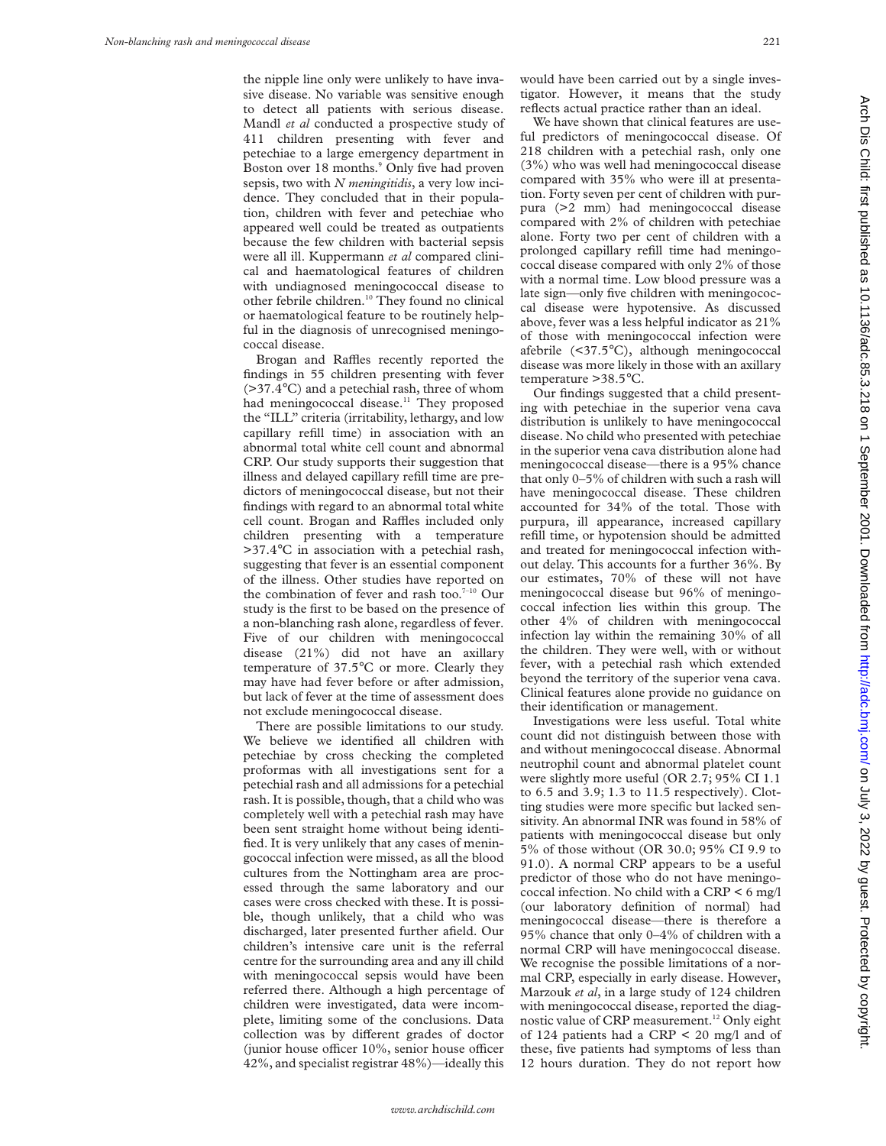the nipple line only were unlikely to have invasive disease. No variable was sensitive enough to detect all patients with serious disease. Mandl *et al* conducted a prospective study of 411 children presenting with fever and petechiae to a large emergency department in Boston over 18 months.<sup>9</sup> Only five had proven sepsis, two with *N meningitidis*, a very low incidence. They concluded that in their population, children with fever and petechiae who appeared well could be treated as outpatients because the few children with bacterial sepsis were all ill. Kuppermann *et al* compared clinical and haematological features of children with undiagnosed meningococcal disease to other febrile children.10 They found no clinical or haematological feature to be routinely helpful in the diagnosis of unrecognised meningococcal disease.

Brogan and Raffles recently reported the findings in 55 children presenting with fever (>37.4°C) and a petechial rash, three of whom had meningococcal disease.<sup>11</sup> They proposed the "ILL" criteria (irritability, lethargy, and low capillary refill time) in association with an abnormal total white cell count and abnormal CRP. Our study supports their suggestion that illness and delayed capillary refill time are predictors of meningococcal disease, but not their findings with regard to an abnormal total white cell count. Brogan and Raffles included only children presenting with a temperature >37.4°C in association with a petechial rash, suggesting that fever is an essential component of the illness. Other studies have reported on the combination of fever and rash too.<sup>7-10</sup> Our study is the first to be based on the presence of a non-blanching rash alone, regardless of fever. Five of our children with meningococcal disease (21%) did not have an axillary temperature of 37.5°C or more. Clearly they may have had fever before or after admission, but lack of fever at the time of assessment does not exclude meningococcal disease.

There are possible limitations to our study. We believe we identified all children with petechiae by cross checking the completed proformas with all investigations sent for a petechial rash and all admissions for a petechial rash. It is possible, though, that a child who was completely well with a petechial rash may have been sent straight home without being identified. It is very unlikely that any cases of meningococcal infection were missed, as all the blood cultures from the Nottingham area are processed through the same laboratory and our cases were cross checked with these. It is possible, though unlikely, that a child who was discharged, later presented further afield. Our children's intensive care unit is the referral centre for the surrounding area and any ill child with meningococcal sepsis would have been referred there. Although a high percentage of children were investigated, data were incomplete, limiting some of the conclusions. Data collection was by different grades of doctor (junior house officer  $10\%$ , senior house officer 42%, and specialist registrar 48%)—ideally this

would have been carried out by a single investigator. However, it means that the study reflects actual practice rather than an ideal.

We have shown that clinical features are useful predictors of meningococcal disease. Of 218 children with a petechial rash, only one (3%) who was well had meningococcal disease compared with 35% who were ill at presentation. Forty seven per cent of children with purpura (>2 mm) had meningococcal disease compared with 2% of children with petechiae alone. Forty two per cent of children with a prolonged capillary refill time had meningococcal disease compared with only 2% of those with a normal time. Low blood pressure was a late sign—only five children with meningococcal disease were hypotensive. As discussed above, fever was a less helpful indicator as 21% of those with meningococcal infection were afebrile (<37.5°C), although meningococcal disease was more likely in those with an axillary temperature >38.5°C.

Our findings suggested that a child presenting with petechiae in the superior vena cava distribution is unlikely to have meningococcal disease. No child who presented with petechiae in the superior vena cava distribution alone had meningococcal disease—there is a 95% chance that only 0–5% of children with such a rash will have meningococcal disease. These children accounted for 34% of the total. Those with purpura, ill appearance, increased capillary refill time, or hypotension should be admitted and treated for meningococcal infection without delay. This accounts for a further 36%. By our estimates, 70% of these will not have meningococcal disease but 96% of meningococcal infection lies within this group. The other 4% of children with meningococcal infection lay within the remaining 30% of all the children. They were well, with or without fever, with a petechial rash which extended beyond the territory of the superior vena cava. Clinical features alone provide no guidance on their identification or management.

Investigations were less useful. Total white count did not distinguish between those with and without meningococcal disease. Abnormal neutrophil count and abnormal platelet count were slightly more useful (OR 2.7; 95% CI 1.1 to 6.5 and 3.9; 1.3 to 11.5 respectively). Clotting studies were more specific but lacked sensitivity. An abnormal INR was found in 58% of patients with meningococcal disease but only 5% of those without (OR 30.0; 95% CI 9.9 to 91.0). A normal CRP appears to be a useful predictor of those who do not have meningococcal infection. No child with a CRP < 6 mg/l (our laboratory definition of normal) had meningococcal disease—there is therefore a 95% chance that only 0–4% of children with a normal CRP will have meningococcal disease. We recognise the possible limitations of a normal CRP, especially in early disease. However, Marzouk *et al*, in a large study of 124 children with meningococcal disease, reported the diagnostic value of CRP measurement.<sup>12</sup> Only eight of 124 patients had a CRP < 20 mg/l and of these, five patients had symptoms of less than 12 hours duration. They do not report how